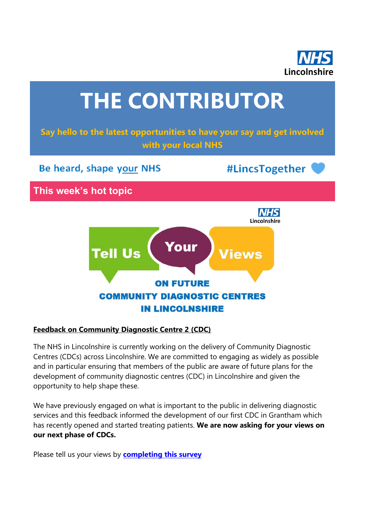



#### **Feedback on Community Diagnostic Centre 2 (CDC)**

The NHS in Lincolnshire is currently working on the delivery of Community Diagnostic Centres (CDCs) across Lincolnshire. We are committed to engaging as widely as possible and in particular ensuring that members of the public are aware of future plans for the development of community diagnostic centres (CDC) in Lincolnshire and given the opportunity to help shape these.

We have previously engaged on what is important to the public in delivering diagnostic services and this feedback informed the development of our first CDC in Grantham which has recently opened and started treating patients. **We are now asking for your views on our next phase of CDCs.**

Please tell us your views by **[completing this survey](https://nhslincolnshire.qualtrics.com/jfe/form/SV_dnABLBwMmkuio62)**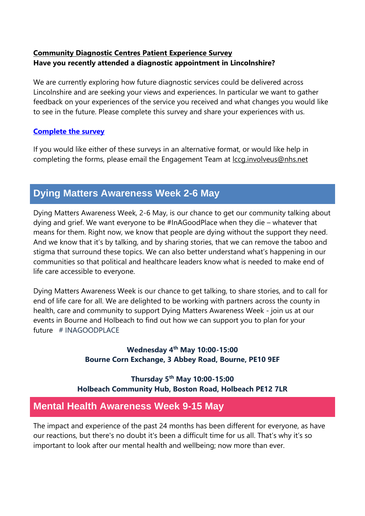### **Community Diagnostic Centres Patient Experience Survey Have you recently attended a diagnostic appointment in Lincolnshire?**

We are currently exploring how future diagnostic services could be delivered across Lincolnshire and are seeking your views and experiences. In particular we want to gather feedback on your experiences of the service you received and what changes you would like to see in the future. Please complete this survey and share your experiences with us.

### **[Complete the survey](https://nhslincolnshire.qualtrics.com/jfe/form/SV_0fzch2pIsBLVxtk)**

If you would like either of these surveys in an alternative format, or would like help in completing the forms, please email the Engagement Team at [lccg.involveus@nhs.net](mailto:lccg.involveus@nhs.net)

## **Dying Matters Awareness Week 2-6 May**

Dying Matters Awareness Week, 2-6 May, is our chance to get our community talking about dying and grief. We want everyone to be #InAGoodPlace when they die – whatever that means for them. Right now, we know that people are dying without the support they need. And we know that it's by talking, and by sharing stories, that we can remove the taboo and stigma that surround these topics. We can also better understand what's happening in our communities so that political and healthcare leaders know what is needed to make end of life care accessible to everyone.

Dying Matters Awareness Week is our chance to get talking, to share stories, and to call for end of life care for all. We are delighted to be working with partners across the county in health, care and community to support Dying Matters Awareness Week - join us at our events in Bourne and Holbeach to find out how we can support you to plan for your future # INAGOODPLACE

> **Wednesday 4th May 10:00-15:00 Bourne Corn Exchange, 3 Abbey Road, Bourne, PE10 9EF**

**Thursday 5th May 10:00-15:00 Holbeach Community Hub, Boston Road, Holbeach PE12 7LR**

## **Mental Health Awareness Week 9-15 May**

The impact and experience of the past 24 months has been different for everyone, as have our reactions, but there's no doubt it's been a difficult time for us all. That's why it's so important to look after our mental health and wellbeing; now more than ever.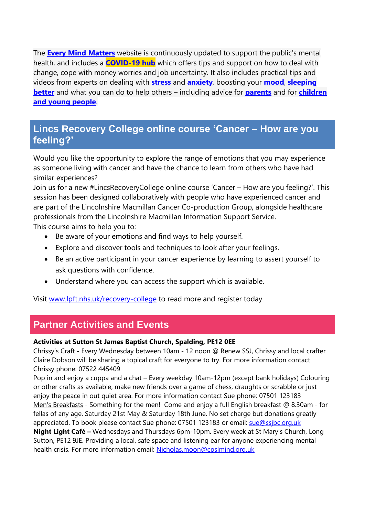The **[Every Mind Matters](https://www.nhs.uk/every-mind-matters/)** website is continuously updated to support the public's mental health, and includes a **[COVID-19 hub](https://www.nhs.uk/every-mind-matters/coronavirus/)** which offers tips and support on how to deal with change, cope with money worries and job uncertainty. It also includes practical tips and videos from experts on dealing with **[stress](https://www.nhs.uk/oneyou/every-mind-matters/stress/)** and **[anxiety](https://www.nhs.uk/oneyou/every-mind-matters/anxiety/)**, boosting your **[mood](https://www.nhs.uk/oneyou/every-mind-matters/low-mood/)**, **[sleeping](https://www.nhs.uk/oneyou/every-mind-matters/sleep/)  [better](https://www.nhs.uk/oneyou/every-mind-matters/sleep/)** and what you can do to help others – including advice for **[parents](https://www.nhs.uk/oneyou/every-mind-matters/childrens-mental-health/)** and for **[children](https://www.nhs.uk/oneyou/every-mind-matters/youth-mental-health/)  [and young](https://www.nhs.uk/oneyou/every-mind-matters/youth-mental-health/) people**.

## **Lincs Recovery College online course 'Cancer – How are you feeling?'**

Would you like the opportunity to explore the range of emotions that you may experience as someone living with cancer and have the chance to learn from others who have had similar experiences?

Join us for a new #LincsRecoveryCollege online course 'Cancer – How are you feeling?'. This session has been designed collaboratively with people who have experienced cancer and are part of the Lincolnshire Macmillan Cancer Co-production Group, alongside healthcare professionals from the Lincolnshire Macmillan Information Support Service. This course aims to help you to:

- Be aware of your emotions and find ways to help yourself.
- Explore and discover tools and techniques to look after your feelings.
- Be an active participant in your cancer experience by learning to assert yourself to ask questions with confidence.
- Understand where you can access the support which is available.

Visit [www.lpft.nhs.uk/recovery-college](http://www.lpft.nhs.uk/recovery-college) to read more and register today.

## **Partner Activities and Events**

#### **Activities at Sutton St James Baptist Church, Spalding, PE12 0EE**

Chrissy's Craft **-** Every Wednesday between 10am - 12 noon @ Renew SSJ, Chrissy and local crafter Claire Dobson will be sharing a topical craft for everyone to try. For more information contact Chrissy phone: 07522 445409

Pop in and enjoy a cuppa and a chat – Every weekday 10am-12pm (except bank holidays) Colouring or other crafts as available, make new friends over a game of chess, draughts or scrabble or just enjoy the peace in out quiet area. For more information contact Sue phone: 07501 123183 Men's Breakfasts - Something for the men! Come and enjoy a full English breakfast @ 8.30am - for fellas of any age. Saturday 21st May & Saturday 18th June. No set charge but donations greatly appreciated. To book please contact Sue phone: 07501 123183 or email: [sue@ssjbc.org.uk](mailto:sue@ssjbc.org.uk) **Night Light Café –** Wednesdays and Thursdays 6pm-10pm. Every week at St Mary's Church, Long Sutton, PE12 9JE. Providing a local, safe space and listening ear for anyone experiencing mental

health crisis. For more information email: [Nicholas.moon@cpslmind.org.uk](mailto:Nicholas.moon@cpslmind.org.uk)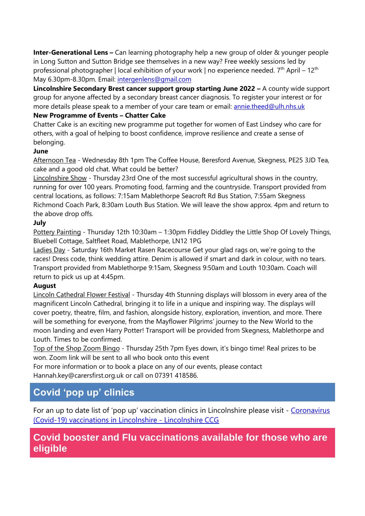**Inter-Generational Lens –** Can learning photography help a new group of older & younger people in Long Sutton and Sutton Bridge see themselves in a new way? Free weekly sessions led by professional photographer | local exhibition of your work | no experience needed. 7<sup>th</sup> April – 12<sup>th</sup> May 6.30pm-8.30pm. Email: [intergenlens@gmail.com](mailto:intergenlens@gmail.com)

**Lincolnshire Secondary Brest cancer support group starting June 2022 –** A county wide support group for anyone affected by a secondary breast cancer diagnosis. To register your interest or for more details please speak to a member of your care team or email: [annie.theed@ulh.nhs.uk](mailto:annie.theed@ulh.nhs.uk)

#### **New Programme of Events – Chatter Cake**

Chatter Cake is an exciting new programme put together for women of East Lindsey who care for others, with a goal of helping to boost confidence, improve resilience and create a sense of belonging.

#### **June**

Afternoon Tea - Wednesday 8th 1pm The Coffee House, Beresford Avenue, Skegness, PE25 3JD Tea, cake and a good old chat. What could be better?

Lincolnshire Show - Thursday 23rd One of the most successful agricultural shows in the country, running for over 100 years. Promoting food, farming and the countryside. Transport provided from central locations, as follows: 7:15am Mablethorpe Seacroft Rd Bus Station, 7:55am Skegness Richmond Coach Park, 8:30am Louth Bus Station. We will leave the show approx. 4pm and return to the above drop offs.

#### **July**

Pottery Painting - Thursday 12th 10:30am – 1:30pm Fiddley Diddley the Little Shop Of Lovely Things, Bluebell Cottage, Saltfleet Road, Mablethorpe, LN12 1PG

Ladies Day - Saturday 16th Market Rasen Racecourse Get your glad rags on, we're going to the races! Dress code, think wedding attire. Denim is allowed if smart and dark in colour, with no tears. Transport provided from Mablethorpe 9:15am, Skegness 9:50am and Louth 10:30am. Coach will return to pick us up at 4:45pm.

#### **August**

Lincoln Cathedral Flower Festival - Thursday 4th Stunning displays will blossom in every area of the magnificent Lincoln Cathedral, bringing it to life in a unique and inspiring way. The displays will cover poetry, theatre, film, and fashion, alongside history, exploration, invention, and more. There will be something for everyone, from the Mayflower Pilgrims' journey to the New World to the moon landing and even Harry Potter! Transport will be provided from Skegness, Mablethorpe and Louth. Times to be confirmed.

Top of the Shop Zoom Bingo - Thursday 25th 7pm Eyes down, it's bingo time! Real prizes to be won. Zoom link will be sent to all who book onto this event

For more information or to book a place on any of our events, please contact Hannah.key@carersfirst.org.uk or call on 07391 418586.

# **Covid 'pop up' clinics**

For an up to date list of 'pop up' vaccination clinics in Lincolnshire please visit - [Coronavirus](https://lincolnshireccg.nhs.uk/grab-a-jab/)  [\(Covid-19\) vaccinations in Lincolnshire -](https://lincolnshireccg.nhs.uk/grab-a-jab/) Lincolnshire CCG

## **Covid booster and Flu vaccinations available for those who are eligible**